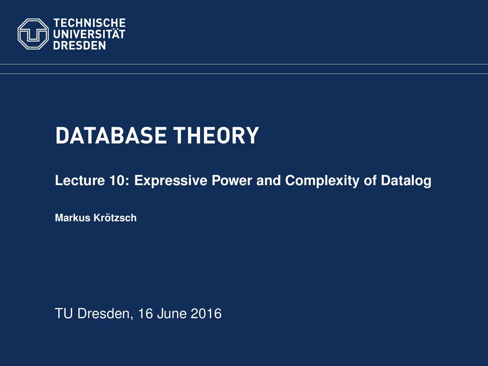<span id="page-0-0"></span>

# **DATABASE THEORY**

**[Lecture 10: Expressive Power and Complexity of Datalog](https://ddll.inf.tu-dresden.de/web/Database_Theory_%28SS2016%29/en)**

**[Markus Krotzsch](http://korrekt.org/) ¨**

TU Dresden, 16 June 2016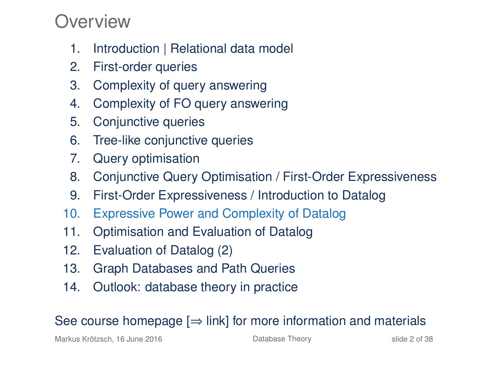#### Overview

- 1. Introduction | Relational data model
- 2. First-order queries
- 3. Complexity of query answering
- 4. Complexity of FO query answering
- 5. Conjunctive queries
- 6. Tree-like conjunctive queries
- 7. Query optimisation
- 8. Conjunctive Query Optimisation / First-Order Expressiveness
- 9. First-Order Expressiveness / Introduction to Datalog
- 10. Expressive Power and Complexity of Datalog
- 11. Optimisation and Evaluation of Datalog
- 12. Evaluation of Datalog (2)
- 13. Graph Databases and Path Queries
- 14. Outlook: database theory in practice

#### See course homepage  $[\Rightarrow]$  link] for more information and materials

Markus Krötzsch, 16 June 2016 **[Database Theory](#page-0-0)** Side 2 of 38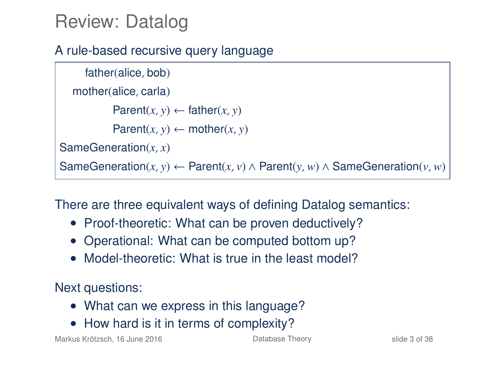### Review: Datalog

#### A rule-based recursive query language

```
father(alice, bob)
  mother(alice, carla)
           Parent(x, y) \leftarrow father(x, y)Parent(x, y) \leftarrow mother(x, y)SameGeneration(x, x)
SameGeneration(x, y) ← Parent(x, v) ∧ Parent(y, w) ∧ SameGeneration(v, w)
```
There are three equivalent ways of defining Datalog semantics:

- Proof-theoretic: What can be proven deductively?
- Operational: What can be computed bottom up?
- Model-theoretic: What is true in the least model?

Next questions:

- What can we express in this language?
- How hard is it in terms of complexity?

Markus Krötzsch, 16 June 2016 [Database Theory](#page-0-0) slide 3 of 38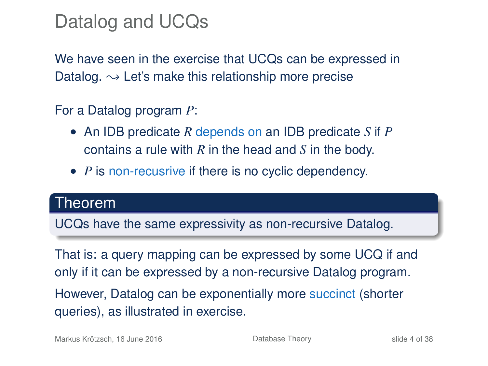### Datalog and UCQs

We have seen in the exercise that UCQs can be expressed in Datalog.  $\rightarrow$  Let's make this relationship more precise

For a Datalog program *P*:

- An IDB predicate *R* depends on an IDB predicate *S* if *P* contains a rule with *R* in the head and *S* in the body.
- *P* is non-recusrive if there is no cyclic dependency.

#### Theorem

UCQs have the same expressivity as non-recursive Datalog.

That is: a query mapping can be expressed by some UCQ if and only if it can be expressed by a non-recursive Datalog program. However, Datalog can be exponentially more succinct (shorter queries), as illustrated in exercise.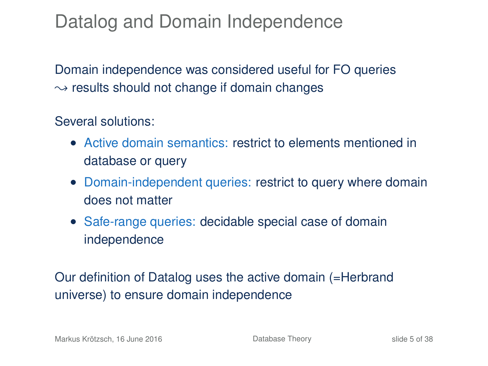### Datalog and Domain Independence

Domain independence was considered useful for FO queries  $\rightarrow$  results should not change if domain changes

#### Several solutions:

- Active domain semantics: restrict to elements mentioned in database or query
- Domain-independent queries: restrict to query where domain does not matter
- Safe-range queries: decidable special case of domain independence

Our definition of Datalog uses the active domain (=Herbrand universe) to ensure domain independence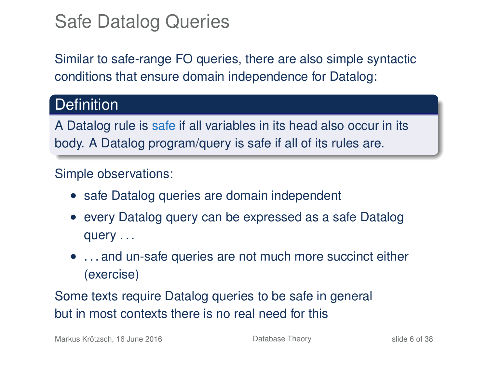### Safe Datalog Queries

Similar to safe-range FO queries, there are also simple syntactic conditions that ensure domain independence for Datalog:

#### Definition<sup>'</sup>

A Datalog rule is safe if all variables in its head also occur in its body. A Datalog program/query is safe if all of its rules are.

#### Simple observations:

- safe Datalog queries are domain independent
- every Datalog query can be expressed as a safe Datalog query . . .
- ... and un-safe queries are not much more succinct either (exercise)

Some texts require Datalog queries to be safe in general but in most contexts there is no real need for this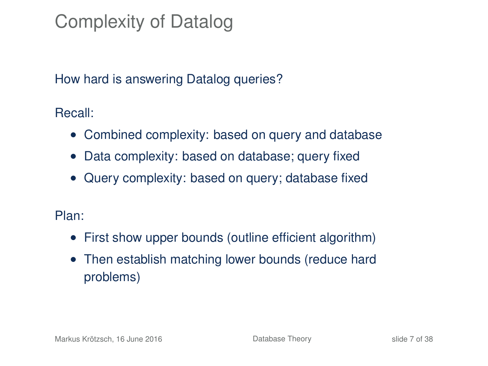# Complexity of Datalog

#### How hard is answering Datalog queries?

Recall:

- Combined complexity: based on query and database
- Data complexity: based on database; query fixed
- Query complexity: based on query; database fixed

#### Plan:

- First show upper bounds (outline efficient algorithm)
- Then establish matching lower bounds (reduce hard problems)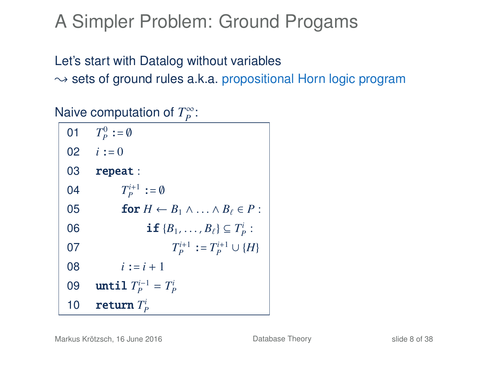## A Simpler Problem: Ground Progams

#### Let's start with Datalog without variables

 $\rightarrow$  sets of ground rules a.k.a. propositional Horn logic program

#### Naive computation of *T*<sup>∞</sup>:

| 01 | $T_P^0 := \emptyset$                                       |
|----|------------------------------------------------------------|
|    | 02 $i := 0$                                                |
| 03 | repeat:                                                    |
| 04 | $T_P^{i+1}$ := 0                                           |
| 05 | for $H \leftarrow B_1 \wedge \ldots \wedge B_\ell \in P$ : |
| 06 | <b>if</b> ${B_1, \ldots, B_\ell} \subseteq T_p^i$ :        |
| 07 | $T_P^{i+1} := T_P^{i+1} \cup \{H\}$                        |
| 08 | $i := i + 1$                                               |
| 09 | until $T_P^{i-1} = T_P^i$                                  |
| 10 | return $T_p^i$                                             |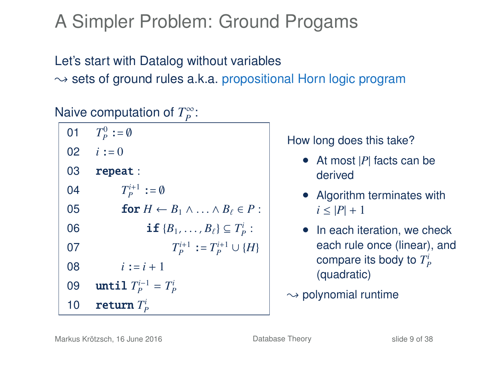# A Simpler Problem: Ground Progams

#### Let's start with Datalog without variables  $\rightarrow$  sets of ground rules a.k.a. propositional Horn logic program

#### Naive computation of *T*<sup>∞</sup>:

| 01 | $T_{\scriptscriptstyle D}^0 := \emptyset$                  |
|----|------------------------------------------------------------|
|    | 02 $i := 0$                                                |
| 03 | repeat:                                                    |
| 04 | $T_P^{i+1} := \emptyset$                                   |
| 05 | for $H \leftarrow B_1 \wedge \ldots \wedge B_\ell \in P$ : |
| 06 | <b>if</b> ${B_1, \ldots, B_\ell} \subseteq T_p^i$ :        |
| 07 | $T_P^{i+1} := T_P^{i+1} \cup \{H\}$                        |
| 08 | $i := i + 1$                                               |
| 09 | until $T_P^{i-1} = T_P^i$                                  |
| 10 | return $T_p^i$                                             |

How long does this take?

- At most |*P*| facts can be derived
- Algorithm terminates with  $i < |P| + 1$
- In each iteration, we check each rule once (linear), and compare its body to  $T_P^i$ (quadratic)
- $\rightarrow$  polynomial runtime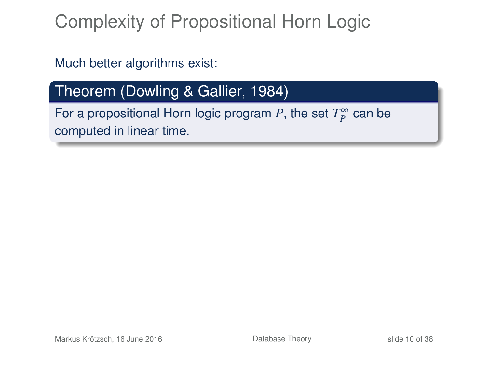## Complexity of Propositional Horn Logic

Much better algorithms exist:

#### Theorem (Dowling & Gallier, 1984)

For a propositional Horn logic program P, the set  $T_P^{\infty}$  can be computed in linear time.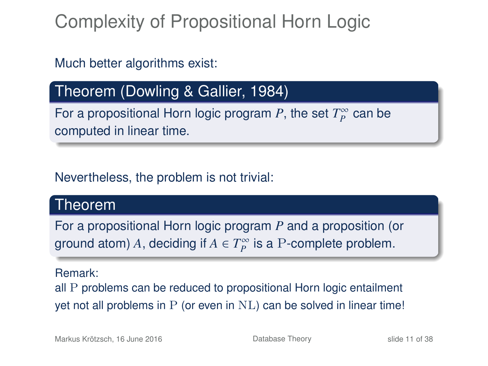# Complexity of Propositional Horn Logic

#### Much better algorithms exist:

#### Theorem (Dowling & Gallier, 1984)

For a propositional Horn logic program P, the set  $T_P^{\infty}$  can be computed in linear time.

#### Nevertheless, the problem is not trivial:

#### Theorem

For a propositional Horn logic program *P* and a proposition (or ground atom) A, deciding if  $A \in T_P^{\infty}$  is a P-complete problem.

#### Remark:

all P problems can be reduced to propositional Horn logic entailment yet not all problems in P (or even in NL) can be solved in linear time!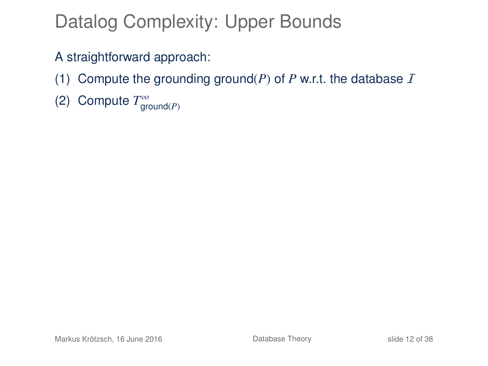# Datalog Complexity: Upper Bounds

A straightforward approach:

- (1) Compute the grounding ground( $P$ ) of  $P$  w.r.t. the database  $I$
- (2) Compute  $T^{\infty}_{\text{ground}(P)}$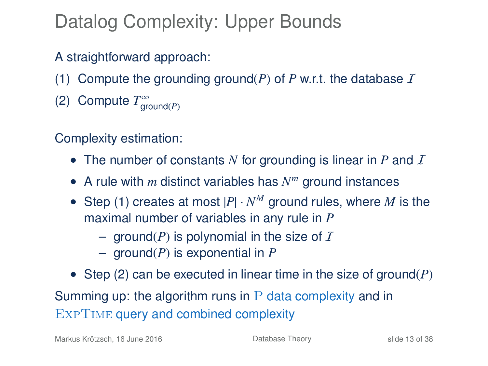# Datalog Complexity: Upper Bounds

A straightforward approach:

- (1) Compute the grounding ground( $P$ ) of  $P$  w.r.t. the database  $\overline{I}$
- (2) Compute  $T^{\infty}_{\text{ground}(P)}$

Complexity estimation:

- The number of constants N for grounding is linear in  $P$  and  $\overline{I}$
- A rule with *m* distinct variables has *N <sup>m</sup>* ground instances
- Step (1) creates at most  $|P| \cdot N^M$  ground rules, where M is the maximal number of variables in any rule in *P*
	- $-$  ground(*P*) is polynomial in the size of *I*
	- ground(*P*) is exponential in *P*
- Step (2) can be executed in linear time in the size of ground(*P*) Summing up: the algorithm runs in  $P$  data complexity and in EXPTIME query and combined complexity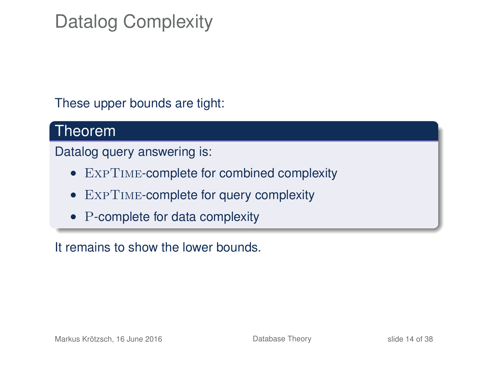# Datalog Complexity

These upper bounds are tight:

#### Theorem

Datalog query answering is:

- ExpTime-complete for combined complexity
- EXPTIME-complete for query complexity
- P-complete for data complexity

It remains to show the lower bounds.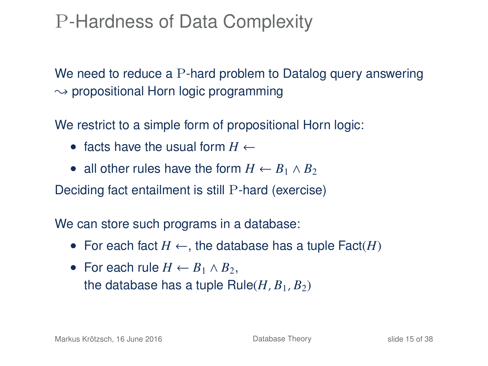## P-Hardness of Data Complexity

We need to reduce a P-hard problem to Datalog query answering  $\rightarrow$  propositional Horn logic programming

We restrict to a simple form of propositional Horn logic:

- facts have the usual form  $H \leftarrow$
- all other rules have the form  $H \leftarrow B_1 \wedge B_2$

Deciding fact entailment is still P-hard (exercise)

We can store such programs in a database:

- For each fact  $H \leftarrow$ , the database has a tuple  $\textsf{Fact}(H)$
- For each rule  $H \leftarrow B_1 \wedge B_2$ . the database has a tuple  $Rule(H, B_1, B_2)$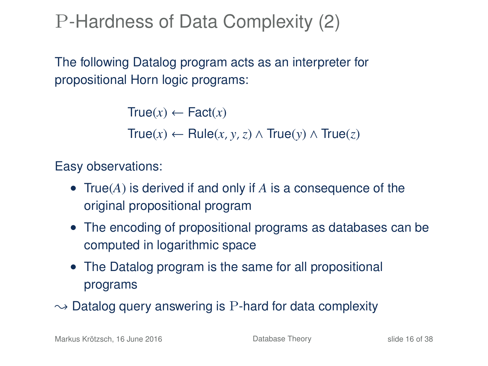P-Hardness of Data Complexity (2)

The following Datalog program acts as an interpreter for propositional Horn logic programs:

> $True(x) \leftarrow Factor(x)$ True(*x*) ← Rule(*x*, *y*,*z*) ∧ True(*y*) ∧ True(*z*)

Easy observations:

- True(*A*) is derived if and only if *A* is a consequence of the original propositional program
- The encoding of propositional programs as databases can be computed in logarithmic space
- The Datalog program is the same for all propositional programs
- $\rightarrow$  Datalog query answering is P-hard for data complexity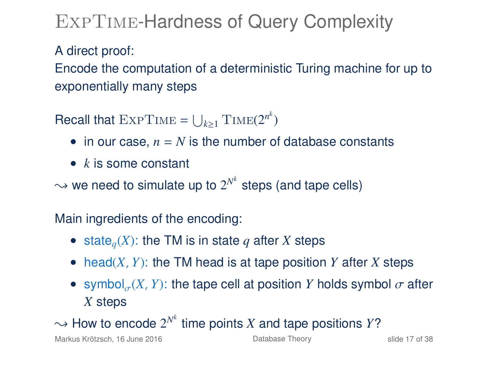## ExpTime-Hardness of Query Complexity

#### A direct proof:

Encode the computation of a deterministic Turing machine for up to exponentially many steps

Recall that  $\text{ExpTime} = \bigcup_{k \geq 1} \text{Time}(2^{n^k})$ 

- in our case,  $n = N$  is the number of database constants
- *k* is some constant

 $\rightsquigarrow$  we need to simulate up to  $2^{N^k}$  steps (and tape cells)

Main ingredients of the encoding:

- state<sub>q</sub> $(X)$ : the TM is in state q after *X* steps
- head(*X*, *Y*): the TM head is at tape position *Y* after *X* steps
- symbol<sub> $\sigma$ </sub>(*X*, *Y*): the tape cell at position *Y* holds symbol  $\sigma$  after *Y* otope σ *X* steps

 $\sim$  How to encode  $2^{N^k}$  time points *X* and tape positions *Y*?

Markus Krötzsch, 16 June 2016 **[Database Theory](#page-0-0)** Slide 17 of 38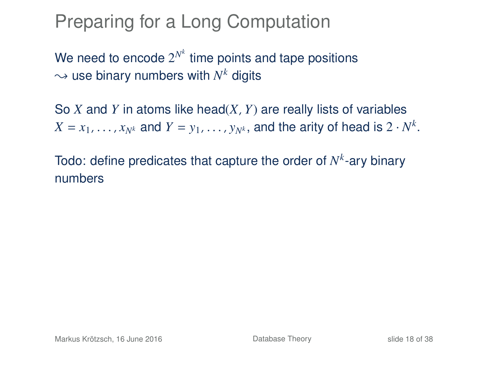#### Preparing for a Long Computation

We need to encode  $2^{N^k}$  time points and tape positions  $\rightsquigarrow$  use binary numbers with  $N^k$  digits

So *X* and *Y* in atoms like head(*X*, *Y*) are really lists of variables  $X = x_1, \ldots, x_{N^k}$  and  $Y = y_1, \ldots, y_{N^k}$ , and the arity of head is  $2 \cdot N^k$ .

Todo: define predicates that capture the order of  $N^k$ -ary binary numbers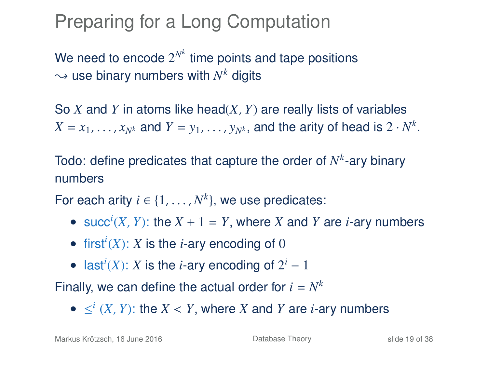### Preparing for a Long Computation

We need to encode  $2^{N^k}$  time points and tape positions  $\rightsquigarrow$  use binary numbers with  $N^k$  digits

So *X* and *Y* in atoms like head(*X*, *Y*) are really lists of variables  $X = x_1, \ldots, x_{N^k}$  and  $Y = y_1, \ldots, y_{N^k}$ , and the arity of head is  $2 \cdot N^k$ .

Todo: define predicates that capture the order of  $N^k$ -ary binary numbers

For each arity  $i \in \{1, ..., N^k\}$ , we use predicates:

- succ<sup>*i*</sup>(*X*, *Y*): the *X* + 1 = *Y*, where *X* and *Y* are *i*-ary numbers
- first<sup>*i*</sup>(*X*): *X* is the *i*-ary encoding of 0
- last<sup>*i*</sup>(*X*): *X* is the *i*-ary encoding of  $2^i 1$

Finally, we can define the actual order for  $i = N^k$ 

 $\bullet$  ≤<sup>*i*</sup> (*X*, *Y*): the *X* < *Y*, where *X* and *Y* are *i*-ary numbers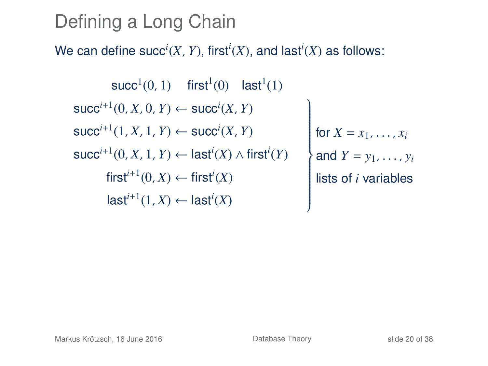## Defining a Long Chain

#### We can define  $succ^i(X, Y)$ , first<sup>*i*</sup>(*X*), and last<sup>*i*</sup>(*X*) as follows:

 $succ<sup>1</sup>(0, 1)$  first<sup>1</sup>(0) last<sup>1</sup>(1)  $succ^{i+1}(0, X, 0, Y) \leftarrow succ^{i}(X, Y)$  $succ^{i+1}(1, X, 1, Y) \leftarrow succ^{i}(X, Y)$ succ*i*+<sup>1</sup> (0, *X*, 1, *Y*) ← last*<sup>i</sup>* (*X*) ∧ first*<sup>i</sup>* (*Y*)  $\mathcal{L}$  $\overline{\phantom{a}}$  $\overline{\phantom{a}}$ for  $X = x_1, \ldots, x_i$ and  $Y = y_1, \ldots, y_i$  $first^{i+1}(0, X) \leftarrow first^{i}(X)$  **i** lists of *i* variables  $\mathsf{last}^{i+1}(1,X) \leftarrow \mathsf{last}^{i}(X)$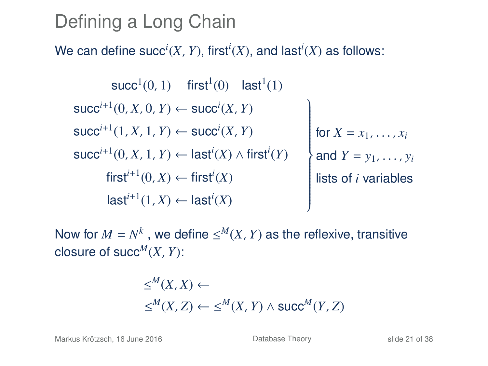## Defining a Long Chain

#### We can define  $succ^i(X, Y)$ , first<sup>*i*</sup>(*X*), and last<sup>*i*</sup>(*X*) as follows:

 $succ<sup>1</sup>(0, 1)$  first<sup>1</sup>(0) last<sup>1</sup>(1)  $succ^{i+1}(0, X, 0, Y) \leftarrow succ^{i}(X, Y)$  $succ^{i+1}(1, X, 1, Y) \leftarrow succ^{i}(X, Y)$ succ*i*+<sup>1</sup> (0, *X*, 1, *Y*) ← last*<sup>i</sup>* (*X*) ∧ first*<sup>i</sup>* (*Y*)  $\mathcal{L}$  $\overline{\phantom{a}}$  $\overline{\phantom{a}}$ for  $X = x_1, \ldots, x_i$ and  $Y = y_1, \ldots, y_i$  $first^{i+1}(0, X) \leftarrow first^{i}(X)$  **i** lists of *i* variables  $\mathsf{last}^{i+1}(1,X) \leftarrow \mathsf{last}^{i}(X)$ 

Now for  $M = N^k$ , we define  $\leq^M (X, Y)$  as the reflexive, transitive closure of succ<sup> $M$ </sup> $(X, Y)$ :

$$
\le^M (X, X) \leftarrow
$$
  

$$
\le^M (X, Z) \leftarrow \le^M (X, Y) \land succ^M (Y, Z)
$$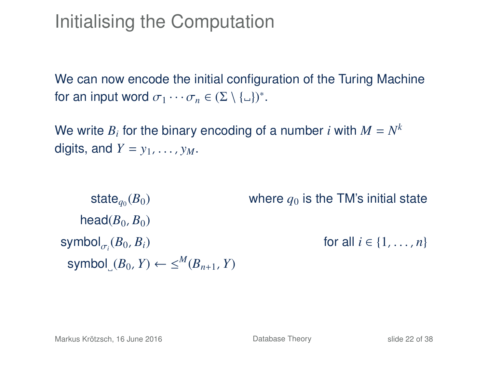### Initialising the Computation

We can now encode the initial configuration of the Turing Machine for an input word  $\sigma_1 \cdots \sigma_n \in (\Sigma \setminus {\{\_ \}\})^*$ .

We write  $B_i$  for the binary encoding of a number  $i$  with  $M = N^k$ digits, and  $Y = y_1, \ldots, y_M$ .

state $_{a_0}(B_0)$ where  $q_0$  is the TM's initial state head $(B_0, B_0)$ symbol $_{\sigma_i}(B_0, B_i)$ σ*i*  $for all i \in \{1, ..., n\}$  $\text{symbol}_{\square}(B_0, Y) \leftarrow \leq^M (B_{n+1}, Y)$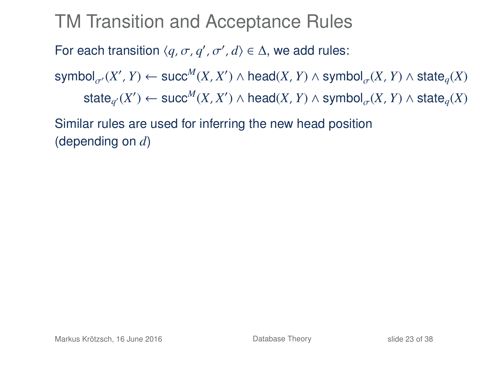### TM Transition and Acceptance Rules

# For each transition  $\langle q, \sigma, q', \sigma', d \rangle \in \Delta$ , we add rules:

 ${\sf symbol}_{\sigma'}(X',Y) \leftarrow {\sf succ}^M(X,X') \wedge {\sf head}(X,Y) \wedge {\sf symbol}_{\sigma}(X,Y) \wedge {\sf state}_q(X)$  $\mathsf{state}_{q'}(X') \leftarrow \mathsf{succ}^M(X, X') \land \mathsf{head}(X, Y) \land \mathsf{symbol}_{\sigma}(X, Y) \land \mathsf{state}_q(X)$ 

Similar rules are used for inferring the new head position (depending on *d*)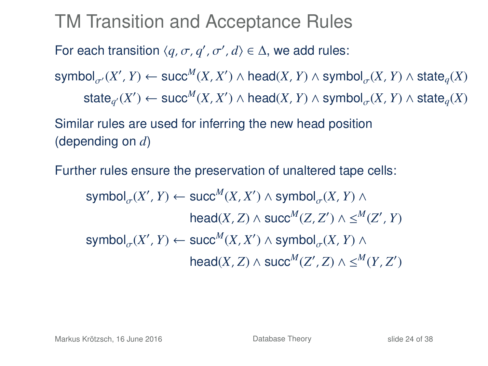### TM Transition and Acceptance Rules

# For each transition  $\langle q, \sigma, q', \sigma', d \rangle \in \Delta$ , we add rules:

 ${\sf symbol}_{\sigma'}(X',Y) \leftarrow {\sf succ}^M(X,X') \wedge {\sf head}(X,Y) \wedge {\sf symbol}_{\sigma}(X,Y) \wedge {\sf state}_q(X)$  $\mathsf{state}_{q'}(X') \leftarrow \mathsf{succ}^M(X, X') \land \mathsf{head}(X, Y) \land \mathsf{symbol}_{\sigma}(X, Y) \land \mathsf{state}_q(X)$ 

Similar rules are used for inferring the new head position (depending on *d*)

Further rules ensure the preservation of unaltered tape cells:

 $\mathsf{symbol}_{\sigma}(X', Y) \leftarrow \mathsf{succ}^M(X, X') \land \mathsf{symbol}_{\sigma}(X, Y) \land$  $\mathsf{head}(X, Z) \land \mathsf{succ}^M(Z, Z') \land \leq^M(Z', Y)$  $\mathsf{symbol}_{\sigma}(X', Y) \leftarrow \mathsf{succ}^M(X, X') \land \mathsf{symbol}_{\sigma}(X, Y) \land$  $\mathsf{head}(X, Z) \land \mathsf{succ}^M(Z', Z) \land \leq^M(Y, Z')$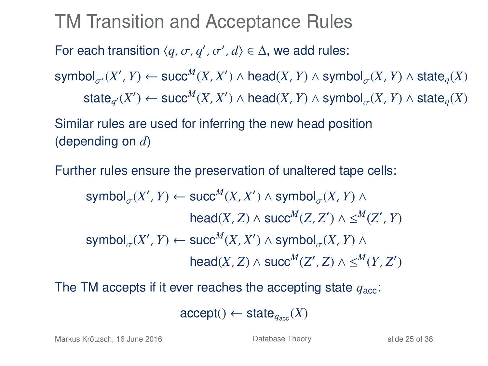### TM Transition and Acceptance Rules

# For each transition  $\langle q, \sigma, q', \sigma', d \rangle \in \Delta$ , we add rules:

 ${\sf symbol}_{\sigma'}(X',Y) \leftarrow {\sf succ}^M(X,X') \wedge {\sf head}(X,Y) \wedge {\sf symbol}_{\sigma}(X,Y) \wedge {\sf state}_q(X)$  $\mathsf{state}_{q'}(X') \leftarrow \mathsf{succ}^M(X, X') \land \mathsf{head}(X, Y) \land \mathsf{symbol}_{\sigma}(X, Y) \land \mathsf{state}_q(X)$ 

Similar rules are used for inferring the new head position (depending on *d*)

Further rules ensure the preservation of unaltered tape cells:

$$
\begin{aligned} \text{symbol}_{\sigma}(X', Y) &\leftarrow \text{succ}^M(X, X') \land \text{symbol}_{\sigma}(X, Y) \land \\ \text{head}(X, Z) &\land \text{succ}^M(Z, Z') \land \leq^M(Z', Y) \\ \text{symbol}_{\sigma}(X', Y) &\leftarrow \text{succ}^M(X, X') \land \text{symbol}_{\sigma}(X, Y) \land \\ \text{head}(X, Z) &\land \text{succ}^M(Z', Z) \land \leq^M(Y, Z') \end{aligned}
$$

The TM accepts if it ever reaches the accepting state  $q_{\text{acc}}$ :

$$
\mathsf{accept}() \leftarrow \mathsf{state}_{q_{\mathsf{acc}}}(X)
$$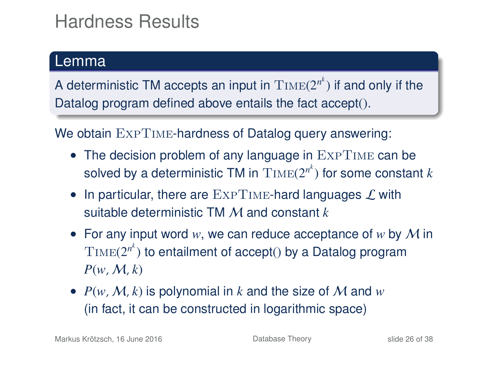## Hardness Results

#### Lemma

A deterministic TM accepts an input in  $\mathrm{Time}(2^{n^k})$  if and only if the Datalog program defined above entails the fact accept().

We obtain  $\text{ExpTime}$ -hardness of Datalog query answering:

- The decision problem of any language in EXPTIME can be solved by a deterministic TM in  $\mathrm{Time}(2^{n^k})$  for some constant  $k$
- In particular, there are  $\text{ExpTIME}$ -hard languages  $\mathcal L$  with suitable deterministic TM M and constant *k*
- For any input word *w*, we can reduce acceptance of *w* by M in  $\text{Time}(2^{n^k})$  to entailment of accept() by a Datalog program  $P(w, M, k)$
- $P(w, M, k)$  is polynomial in k and the size of M and  $w$ (in fact, it can be constructed in logarithmic space)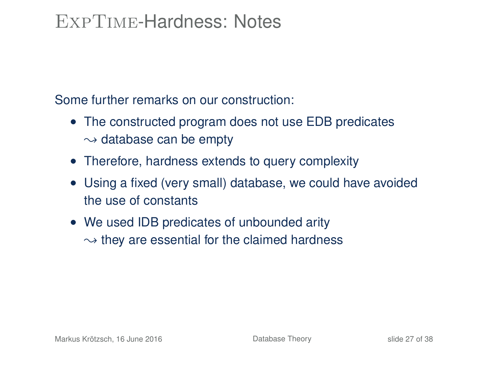#### ExpTime-Hardness: Notes

Some further remarks on our construction:

- The constructed program does not use EDB predicates  $\sim$  database can be empty
- Therefore, hardness extends to query complexity
- Using a fixed (very small) database, we could have avoided the use of constants
- We used IDB predicates of unbounded arity  $\rightsquigarrow$  they are essential for the claimed hardness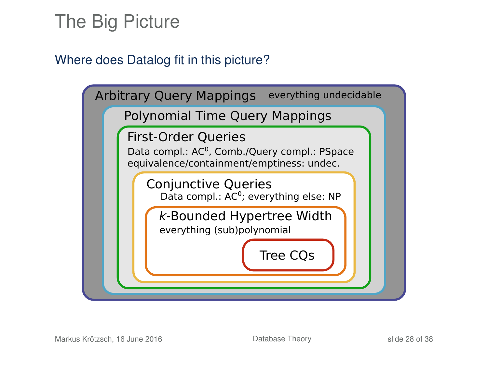### The Big Picture

#### Where does Datalog fit in this picture?

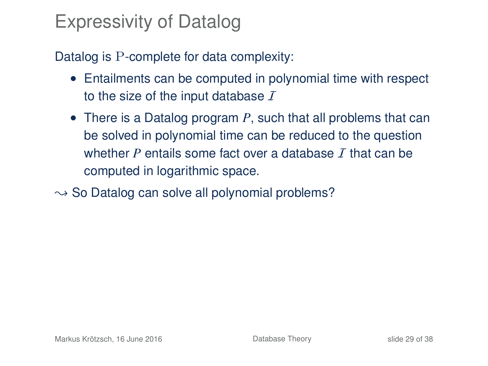### Expressivity of Datalog

Datalog is P-complete for data complexity:

- Entailments can be computed in polynomial time with respect to the size of the input database  $I$
- There is a Datalog program *P*, such that all problems that can be solved in polynomial time can be reduced to the question whether *P* entails some fact over a database  $\tau$  that can be computed in logarithmic space.
- $\rightarrow$  So Datalog can solve all polynomial problems?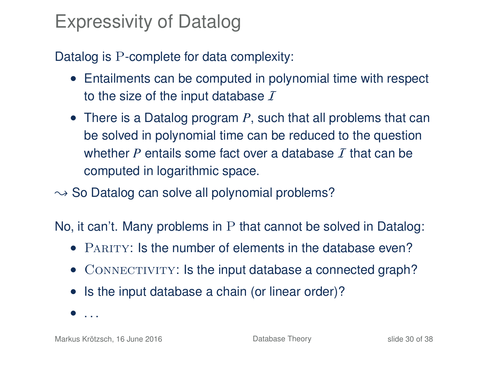### Expressivity of Datalog

Datalog is P-complete for data complexity:

- Entailments can be computed in polynomial time with respect to the size of the input database  $I$
- There is a Datalog program *P*, such that all problems that can be solved in polynomial time can be reduced to the question whether *P* entails some fact over a database  $\tau$  that can be computed in logarithmic space.
- $\rightarrow$  So Datalog can solve all polynomial problems?

No, it can't. Many problems in P that cannot be solved in Datalog:

- PARITY: Is the number of elements in the database even?
- CONNECTIVITY: Is the input database a connected graph?
- Is the input database a chain (or linear order)?
- $\bullet$  . . .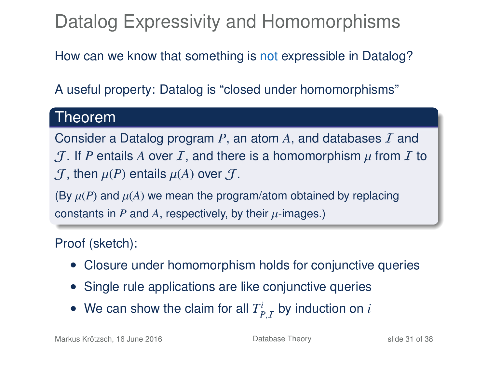# Datalog Expressivity and Homomorphisms

How can we know that something is not expressible in Datalog?

A useful property: Datalog is "closed under homomorphisms"

#### Theorem

Consider a Datalog program  $P$ , an atom  $A$ , and databases  $I$  and  $J$ . If P entails A over I, and there is a homomorphism  $\mu$  from I to  $\mathcal{J}$ , then  $\mu(P)$  entails  $\mu(A)$  over  $\mathcal{J}$ .

(By  $\mu(P)$  and  $\mu(A)$  we mean the program/atom obtained by replacing constants in  $P$  and  $A$ , respectively, by their  $\mu$ -images.)

#### Proof (sketch):

- Closure under homomorphism holds for conjunctive queries
- Single rule applications are like conjunctive queries
- We can show the claim for all  $T^i_{P,I}$  by induction on  $i$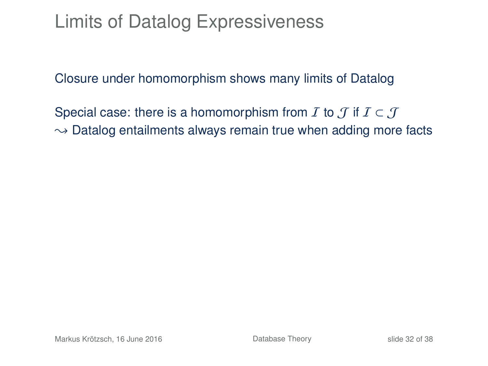### Limits of Datalog Expressiveness

Closure under homomorphism shows many limits of Datalog

Special case: there is a homomorphism from  $I$  to  $J$  if  $I \subset J$  $\rightarrow$  Datalog entailments always remain true when adding more facts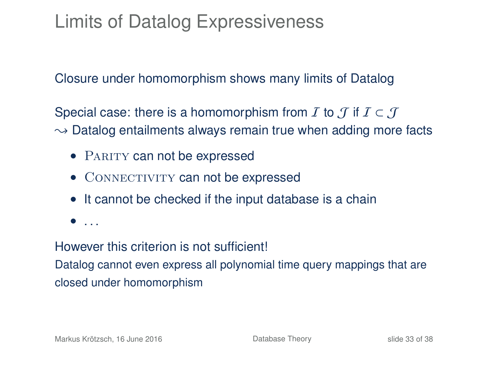## Limits of Datalog Expressiveness

Closure under homomorphism shows many limits of Datalog

Special case: there is a homomorphism from  $\mathcal I$  to  $\mathcal J$  if  $\mathcal I\subset\mathcal J$  $\rightarrow$  Datalog entailments always remain true when adding more facts

- PARITY can not be expressed
- CONNECTIVITY can not be expressed
- It cannot be checked if the input database is a chain
- . . .

#### However this criterion is not sufficient!

Datalog cannot even express all polynomial time query mappings that are closed under homomorphism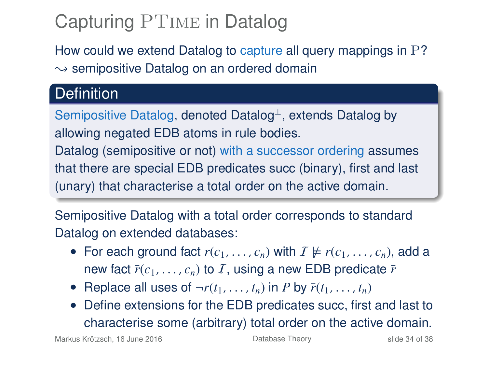# Capturing PTime in Datalog

How could we extend Datalog to capture all query mappings in P?  $\rightarrow$  semipositive Datalog on an ordered domain

#### **Definition**

Semipositive Datalog, denoted Datalog<sup>⊥</sup>, extends Datalog by allowing negated EDB atoms in rule bodies. Datalog (semipositive or not) with a successor ordering assumes that there are special EDB predicates succ (binary), first and last

(unary) that characterise a total order on the active domain.

Semipositive Datalog with a total order corresponds to standard Datalog on extended databases:

- For each ground fact  $r(c_1, \ldots, c_n)$  with  $I \not\models r(c_1, \ldots, c_n)$ , add a new fact  $\bar{r}(c_1, \ldots, c_n)$  to I, using a new EDB predicate  $\bar{r}$
- Replace all uses of  $\neg r(t_1, \ldots, t_n)$  in *P* by  $\overline{r}(t_1, \ldots, t_n)$
- Define extensions for the EDB predicates succ, first and last to characterise some (arbitrary) total order on the active domain.

Markus Krötzsch, 16 June 2016 **[Database Theory](#page-0-0)** Slide 34 of 38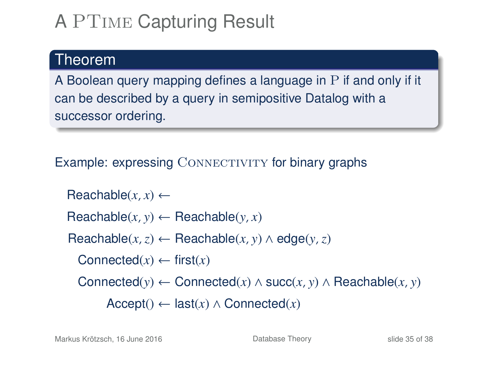# A PTime Capturing Result

#### Theorem

A Boolean query mapping defines a language in P if and only if it can be described by a query in semipositive Datalog with a successor ordering.

Example: expressing  $COMRECTIONITY$  for binary graphs

 $\text{Reachable}(x, x) \leftarrow$  $Reachable(x, y) \leftarrow Reachable(y, x)$  $\text{Reachable}(x, z) \leftarrow \text{Reachable}(x, y) \land \text{edge}(y, z)$ Connected $(x) \leftarrow$  first $(x)$ Connected(*y*) ← Connected(*x*) ∧ succ(*x*, *y*) ∧ Reachable(*x*, *y*)  $Accept() \leftarrow last(x) \wedge Connected(x)$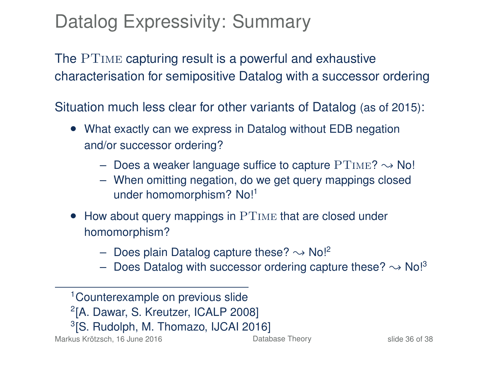## Datalog Expressivity: Summary

The PTime capturing result is a powerful and exhaustive characterisation for semipositive Datalog with a successor ordering

Situation much less clear for other variants of Datalog (as of 2015):

- What exactly can we express in Datalog without EDB negation and/or successor ordering?
	- Does a weaker language suffice to capture  $PTIME? \rightarrow No!$
	- When omitting negation, do we get query mappings closed under homomorphism? No!<sup>1</sup>
- How about query mappings in PTIME that are closed under homomorphism?
	- Does plain Datalog capture these?  $\rightarrow$  No!<sup>2</sup>
	- Does Datalog with successor ordering capture these?  $\sim$  No!<sup>3</sup>

<sup>1</sup>Counterexample on previous slide 2 [A. Dawar, S. Kreutzer, ICALP 2008] 3 [S. Rudolph, M. Thomazo, IJCAI 2016]

Markus Krötzsch, 16 June 2016 **[Database Theory](#page-0-0)** Slide 36 of 38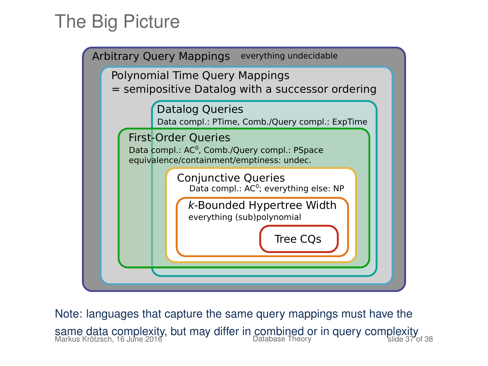## The Big Picture



Note: languages that capture the same query mappings must have the same data complexity, but may differ in combined or in query complexity<br>Markus Krötzsch, 16 June 2016